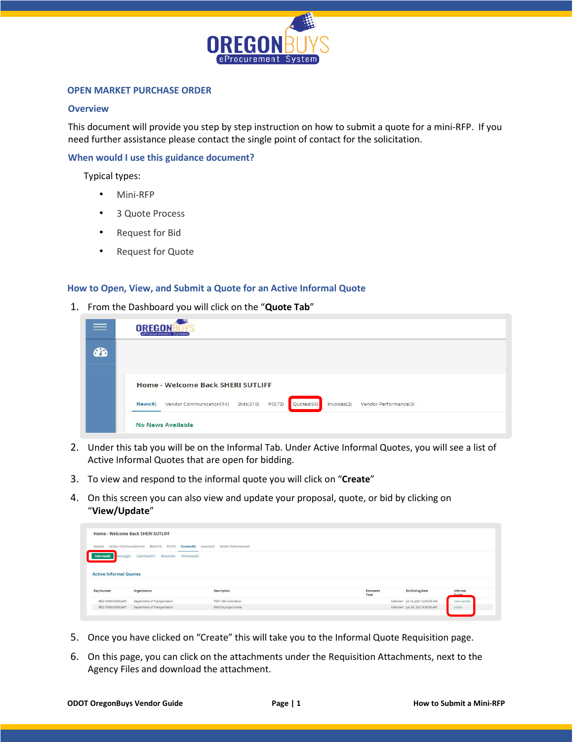

### **OPEN MARKET PURCHASE ORDER**

## **Overview**

This document will provide you step by step instruction on how to submit a quote for a mini-RFP. If you need further assistance please contact the single point of contact for the solicitation.

## **When would I use this guidance document?**

Typical types:

- Mini-RFP
- 3 Quote Process
- Request for Bid
- Request for Quote

#### **How to Open, View, and Submit a Quote for an Active Informal Quote**

1. From the Dashboard you will click on the "**Quote Tab**"

| $\equiv$  | <b>OREGON</b><br>eProcurement System                                                                             |
|-----------|------------------------------------------------------------------------------------------------------------------|
| <b>PB</b> |                                                                                                                  |
|           |                                                                                                                  |
|           | Home - Welcome Back SHERI SUTLIFF                                                                                |
|           | Quotes(64)<br>Invoices(2)<br>PO(73)<br>Vendor Performance(0)<br>Vendor Communication(14)<br>Bids(310)<br>News(0) |
|           | <b>No News Available</b>                                                                                         |

- 2. Under this tab you will be on the Informal Tab. Under Active Informal Quotes, you will see a list of Active Informal Quotes that are open for bidding.
- 3. To view and respond to the informal quote you will click on "**Create**"
- 4. On this screen you can also view and update your proposal, quote, or bid by clicking on "**View/Update**"

| Home - Welcome Back SHERI SUTLIFF   |                                              |                                      |                    |                                  |                   |
|-------------------------------------|----------------------------------------------|--------------------------------------|--------------------|----------------------------------|-------------------|
| Vendor Communication(14)<br>News(0) | PO(73)<br>Bids(310)<br>Quotes(65)            | Vendor Performance(0)<br>Invoices(2) |                    |                                  |                   |
| Working(0)<br>Informal(8)           | Submitted(57)<br>Revision(0)<br>Withdrawn(0) |                                      |                    |                                  |                   |
| <b>Active Informal Quotes</b>       |                                              |                                      |                    |                                  |                   |
| <b>Reg Number</b>                   | Organization                                 | Description                          | Estimated<br>Total | <b>Bld Ending Date</b>           | Informal<br>Quote |
| REQ-73000-00002465                  | Department of Transportation                 | TEST- Mini Soliciation               |                    | Unknown Jul 14, 2021 12:00:00 AM | view /update      |

- 5. Once you have clicked on "Create" this will take you to the Informal Quote Requisition page.
- 6. On this page, you can click on the attachments under the Requisition Attachments, next to the Agency Files and download the attachment.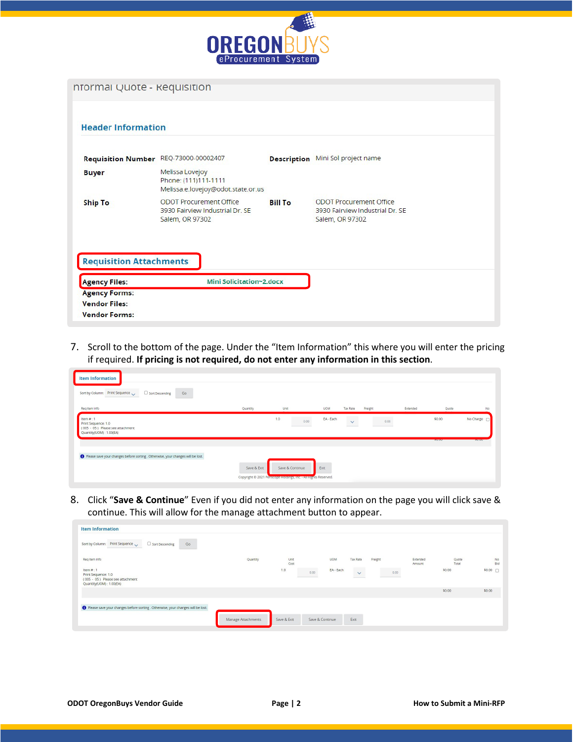

| nformal Quote - Requisition                            |                                                                                      |                |                                                                                      |
|--------------------------------------------------------|--------------------------------------------------------------------------------------|----------------|--------------------------------------------------------------------------------------|
| <b>Header Information</b>                              |                                                                                      |                |                                                                                      |
| <b>Requisition Number</b>                              | REQ-73000-00002407                                                                   |                | <b>Description</b> Mini Sol project name                                             |
| <b>Buyer</b>                                           | Melissa Lovejoy<br>Phone: (111)111-1111<br>Melissa.e.lovejoy@odot.state.or.us        |                |                                                                                      |
| <b>Ship To</b>                                         | <b>ODOT Procurement Office</b><br>3930 Fairview Industrial Dr. SE<br>Salem, OR 97302 | <b>Bill To</b> | <b>ODOT Procurement Office</b><br>3930 Fairview Industrial Dr. SE<br>Salem, OR 97302 |
| <b>Requisition Attachments</b><br><b>Agency Files:</b> | <b>Mini Solicitation~2.docx</b>                                                      |                |                                                                                      |
| <b>Agency Forms:</b>                                   |                                                                                      |                |                                                                                      |
| <b>Vendor Files:</b>                                   |                                                                                      |                |                                                                                      |
| <b>Vendor Forms:</b>                                   |                                                                                      |                |                                                                                      |

7. Scroll to the bottom of the page. Under the "Item Information" this where you will enter the pricing if required. **If pricing is not required, do not enter any information in this section**.

| Sort by Column: Print Sequence<br>Sort Descending<br>Go                                           |          |             |            |                      |          |         |             |
|---------------------------------------------------------------------------------------------------|----------|-------------|------------|----------------------|----------|---------|-------------|
| Reg Item Info                                                                                     | Quantity | Unit        | <b>UOM</b> | Tax Rate<br>Freight  | Extended | Quote   | No.         |
| Item $#: 1$<br>Print Sequence: 1.0<br>(005 - 05) Please see attachment<br>Quantity(UOM): 1.00(EA) |          | 1.0<br>0.00 | EA - Each  | 0.00<br>$\checkmark$ |          | \$0.00  | No Charge   |
|                                                                                                   |          |             |            |                      |          | 2005000 | <b>BOOD</b> |
|                                                                                                   |          |             |            |                      |          |         |             |

8. Click "**Save & Continue**" Even if you did not enter any information on the page you will click save & continue. This will allow for the manage attachment button to appear.

| <b>Item Information</b>                                                                           |                    |              |                   |              |         |                    |                |                  |
|---------------------------------------------------------------------------------------------------|--------------------|--------------|-------------------|--------------|---------|--------------------|----------------|------------------|
| Sort Descending<br>Sort by Column: Print Sequence<br>Go                                           |                    |              |                   |              |         |                    |                |                  |
| Req Item Info                                                                                     | Quantity           | Unit<br>Cost | <b>UOM</b>        | Tax Rate     | Freight | Extended<br>Amount | Quote<br>Total | <b>No</b><br>Bid |
| Item $#: 1$<br>Print Sequence: 1.0<br>(005 - 05) Please see attachment<br>Quantity(UOM): 1.00(EA) |                    | 1.0          | EA - Each<br>0.00 | $\checkmark$ | 0.00    |                    | \$0.00         | $$0.00$ $\Box$   |
|                                                                                                   |                    |              |                   |              |         |                    | \$0.00         | \$0.00           |
| ● Please save your changes before sorting . Otherwise, your changes will be lost.                 |                    |              |                   |              |         |                    |                |                  |
|                                                                                                   | Manage Attachments | Save & Exit  | Save & Continue   | Exit         |         |                    |                |                  |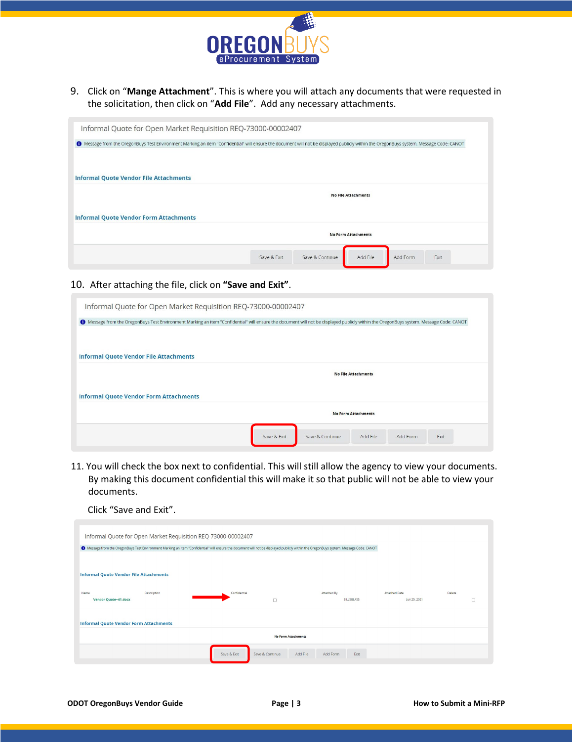

9. Click on "**Mange Attachment**". This is where you will attach any documents that were requested in the solicitation, then click on "**Add File**". Add any necessary attachments.

| 1 Message from the OregonBuys Test Environment Marking an item "Confidential" will ensure the document will not be displayed publicly within the OregonBuys system. Message Code: CANOT |  |                            |  |
|-----------------------------------------------------------------------------------------------------------------------------------------------------------------------------------------|--|----------------------------|--|
| <b>Informal Quote Vendor File Attachments</b>                                                                                                                                           |  |                            |  |
|                                                                                                                                                                                         |  | <b>No File Attachments</b> |  |
| <b>Informal Quote Vendor Form Attachments</b>                                                                                                                                           |  |                            |  |
|                                                                                                                                                                                         |  | <b>No Form Attachments</b> |  |

# 10. After attaching the file, click on **"Save and Exit"**.

| Informal Quote for Open Market Requisition REQ-73000-00002407 |                                                                                                                                                                                         |
|---------------------------------------------------------------|-----------------------------------------------------------------------------------------------------------------------------------------------------------------------------------------|
|                                                               | 1 Message from the OregonBuys Test Environment Marking an item "Confidential" will ensure the document will not be displayed publicly within the OregonBuys system. Message Code: CANOT |
|                                                               |                                                                                                                                                                                         |
| <b>Informal Quote Vendor File Attachments</b>                 |                                                                                                                                                                                         |
|                                                               | <b>No File Attachments</b>                                                                                                                                                              |
| <b>Informal Quote Vendor Form Attachments</b>                 |                                                                                                                                                                                         |
|                                                               |                                                                                                                                                                                         |
|                                                               | <b>No Form Attachments</b>                                                                                                                                                              |

11. You will check the box next to confidential. This will still allow the agency to view your documents. By making this document confidential this will make it so that public will not be able to view your documents.

| Informal Quote for Open Market Requisition REQ-73000-00002407                                                                                                                           |                                |                              |               |        |
|-----------------------------------------------------------------------------------------------------------------------------------------------------------------------------------------|--------------------------------|------------------------------|---------------|--------|
| 1 Message from the OregonBuys Test Environment Marking an item "Confidential" will ensure the document will not be displayed publicly within the OregonBuys system. Message Code: CANOT |                                |                              |               |        |
| <b>Informal Quote Vendor File Attachments</b>                                                                                                                                           |                                |                              |               |        |
|                                                                                                                                                                                         |                                |                              |               |        |
| Name<br>Description                                                                                                                                                                     | Confidential                   | Attached By                  | Attached Date | Delete |
| Vendor Quote~41.docx                                                                                                                                                                    | $\Box$                         | <b>BILLSGLASS</b>            | Jun 25, 2021  | п      |
|                                                                                                                                                                                         |                                |                              |               |        |
| <b>Informal Quote Vendor Form Attachments</b>                                                                                                                                           |                                |                              |               |        |
|                                                                                                                                                                                         | <b>No Form Attachments</b>     |                              |               |        |
|                                                                                                                                                                                         |                                |                              |               |        |
|                                                                                                                                                                                         | Save & Exit<br>Save & Continue | Add File<br>Add Form<br>Exit |               |        |
|                                                                                                                                                                                         |                                |                              |               |        |

Click "Save and Exit".